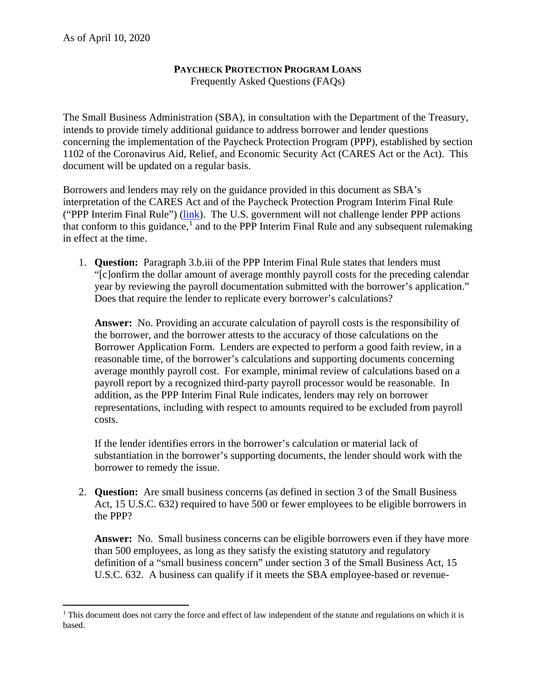$\overline{\phantom{a}}$ 

## **PAYCHECK PROTECTION PROGRAM LOANS**

Frequently Asked Questions (FAQs)

The Small Business Administration (SBA), in consultation with the Department of the Treasury, intends to provide timely additional guidance to address borrower and lender questions concerning the implementation of the Paycheck Protection Program (PPP), established by section 1102 of the Coronavirus Aid, Relief, and Economic Security Act (CARES Act or the Act). This document will be updated on a regular basis.

Borrowers and lenders may rely on the guidance provided in this document as SBA's interpretation of the CARES Act and of the Paycheck Protection Program Interim Final Rule ("PPP Interim Final Rule") [\(link\)](https://www.sba.gov/document/policy-guidance--ppp-interim-final-rule). The U.S. government will not challenge lender PPP actions that conform to this guidance,<sup>[1](#page-0-0)</sup> and to the PPP Interim Final Rule and any subsequent rulemaking in effect at the time.

1. **Question:** Paragraph 3.b.iii of the PPP Interim Final Rule states that lenders must "[c]onfirm the dollar amount of average monthly payroll costs for the preceding calendar year by reviewing the payroll documentation submitted with the borrower's application." Does that require the lender to replicate every borrower's calculations?

**Answer:** No. Providing an accurate calculation of payroll costs is the responsibility of the borrower, and the borrower attests to the accuracy of those calculations on the Borrower Application Form. Lenders are expected to perform a good faith review, in a reasonable time, of the borrower's calculations and supporting documents concerning average monthly payroll cost. For example, minimal review of calculations based on a payroll report by a recognized third-party payroll processor would be reasonable. In addition, as the PPP Interim Final Rule indicates, lenders may rely on borrower representations, including with respect to amounts required to be excluded from payroll costs.

If the lender identifies errors in the borrower's calculation or material lack of substantiation in the borrower's supporting documents, the lender should work with the borrower to remedy the issue.

2. **Question:** Are small business concerns (as defined in section 3 of the Small Business Act, 15 U.S.C. 632) required to have 500 or fewer employees to be eligible borrowers in the PPP?

**Answer:** No. Small business concerns can be eligible borrowers even if they have more than 500 employees, as long as they satisfy the existing statutory and regulatory definition of a "small business concern" under section 3 of the Small Business Act, 15 U.S.C. 632. A business can qualify if it meets the SBA employee-based or revenue-

<span id="page-0-0"></span><sup>&</sup>lt;sup>1</sup> This document does not carry the force and effect of law independent of the statute and regulations on which it is based.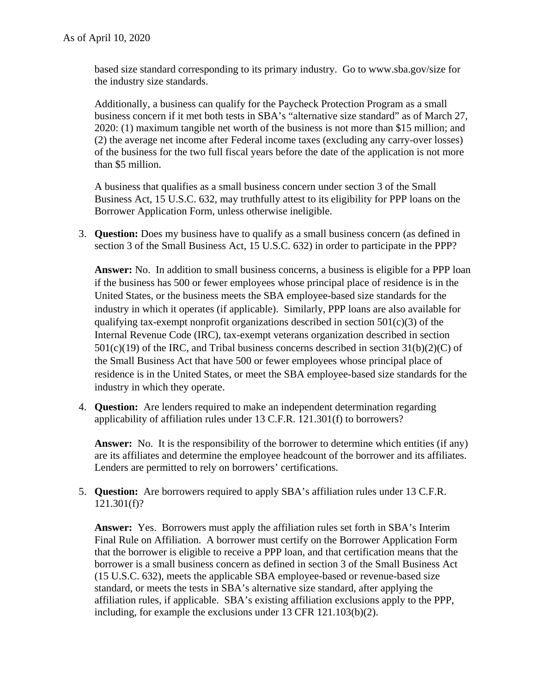based size standard corresponding to its primary industry. Go to www.sba.gov/size for the industry size standards.

Additionally, a business can qualify for the Paycheck Protection Program as a small business concern if it met both tests in SBA's "alternative size standard" as of March 27, 2020: (1) maximum tangible net worth of the business is not more than \$15 million; and (2) the average net income after Federal income taxes (excluding any carry-over losses) of the business for the two full fiscal years before the date of the application is not more than \$5 million.

A business that qualifies as a small business concern under section 3 of the Small Business Act, 15 U.S.C. 632, may truthfully attest to its eligibility for PPP loans on the Borrower Application Form, unless otherwise ineligible.

3. **Question:** Does my business have to qualify as a small business concern (as defined in section 3 of the Small Business Act, 15 U.S.C. 632) in order to participate in the PPP?

**Answer:** No. In addition to small business concerns, a business is eligible for a PPP loan if the business has 500 or fewer employees whose principal place of residence is in the United States, or the business meets the SBA employee-based size standards for the industry in which it operates (if applicable). Similarly, PPP loans are also available for qualifying tax-exempt nonprofit organizations described in section  $501(c)(3)$  of the Internal Revenue Code (IRC), tax-exempt veterans organization described in section  $501(c)(19)$  of the IRC, and Tribal business concerns described in section  $31(b)(2)(C)$  of the Small Business Act that have 500 or fewer employees whose principal place of residence is in the United States, or meet the SBA employee-based size standards for the industry in which they operate.

4. **Question:** Are lenders required to make an independent determination regarding applicability of affiliation rules under 13 C.F.R. 121.301(f) to borrowers?

**Answer:** No. It is the responsibility of the borrower to determine which entities (if any) are its affiliates and determine the employee headcount of the borrower and its affiliates. Lenders are permitted to rely on borrowers' certifications.

5. **Question:** Are borrowers required to apply SBA's affiliation rules under 13 C.F.R. 121.301(f)?

**Answer:** Yes. Borrowers must apply the affiliation rules set forth in SBA's Interim Final Rule on Affiliation. A borrower must certify on the Borrower Application Form that the borrower is eligible to receive a PPP loan, and that certification means that the borrower is a small business concern as defined in section 3 of the Small Business Act (15 U.S.C. 632), meets the applicable SBA employee-based or revenue-based size standard, or meets the tests in SBA's alternative size standard, after applying the affiliation rules, if applicable. SBA's existing affiliation exclusions apply to the PPP, including, for example the exclusions under 13 CFR 121.103(b)(2).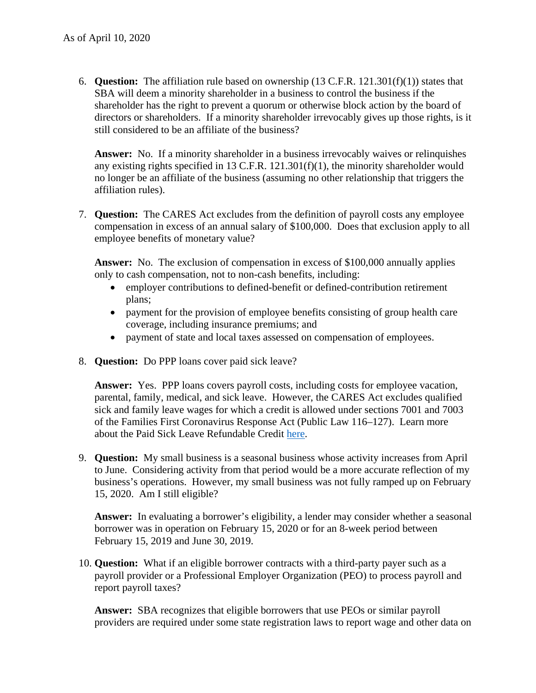6. **Question:** The affiliation rule based on ownership (13 C.F.R. 121.301(f)(1)) states that SBA will deem a minority shareholder in a business to control the business if the shareholder has the right to prevent a quorum or otherwise block action by the board of directors or shareholders. If a minority shareholder irrevocably gives up those rights, is it still considered to be an affiliate of the business?

**Answer:** No. If a minority shareholder in a business irrevocably waives or relinquishes any existing rights specified in 13 C.F.R. 121.301(f)(1), the minority shareholder would no longer be an affiliate of the business (assuming no other relationship that triggers the affiliation rules).

7. **Question:** The CARES Act excludes from the definition of payroll costs any employee compensation in excess of an annual salary of \$100,000. Does that exclusion apply to all employee benefits of monetary value?

**Answer:** No. The exclusion of compensation in excess of \$100,000 annually applies only to cash compensation, not to non-cash benefits, including:

- employer contributions to defined-benefit or defined-contribution retirement plans;
- payment for the provision of employee benefits consisting of group health care coverage, including insurance premiums; and
- payment of state and local taxes assessed on compensation of employees.
- 8. **Question:** Do PPP loans cover paid sick leave?

**Answer:** Yes. PPP loans covers payroll costs, including costs for employee vacation, parental, family, medical, and sick leave. However, the CARES Act excludes qualified sick and family leave wages for which a credit is allowed under sections 7001 and 7003 of the Families First Coronavirus Response Act (Public Law 116–127). Learn more about the Paid Sick Leave Refundable Credit [here.](https://www.irs.gov/newsroom/covid-19-related-tax-credits-for-required-paid-leave-provided-by-small-and-midsize-businesses-faqs)

9. **Question:** My small business is a seasonal business whose activity increases from April to June. Considering activity from that period would be a more accurate reflection of my business's operations. However, my small business was not fully ramped up on February 15, 2020. Am I still eligible?

**Answer:** In evaluating a borrower's eligibility, a lender may consider whether a seasonal borrower was in operation on February 15, 2020 or for an 8-week period between February 15, 2019 and June 30, 2019.

10. **Question:** What if an eligible borrower contracts with a third-party payer such as a payroll provider or a Professional Employer Organization (PEO) to process payroll and report payroll taxes?

**Answer:** SBA recognizes that eligible borrowers that use PEOs or similar payroll providers are required under some state registration laws to report wage and other data on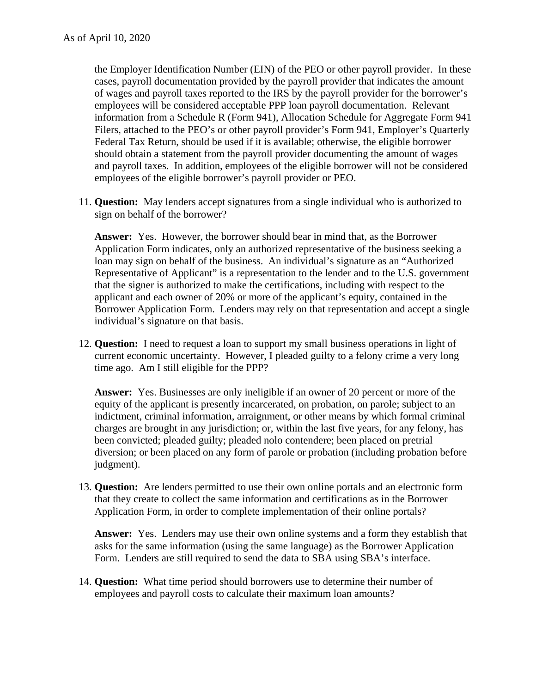the Employer Identification Number (EIN) of the PEO or other payroll provider. In these cases, payroll documentation provided by the payroll provider that indicates the amount of wages and payroll taxes reported to the IRS by the payroll provider for the borrower's employees will be considered acceptable PPP loan payroll documentation. Relevant information from a Schedule R (Form 941), Allocation Schedule for Aggregate Form 941 Filers, attached to the PEO's or other payroll provider's Form 941, Employer's Quarterly Federal Tax Return, should be used if it is available; otherwise, the eligible borrower should obtain a statement from the payroll provider documenting the amount of wages and payroll taxes. In addition, employees of the eligible borrower will not be considered employees of the eligible borrower's payroll provider or PEO.

11. **Question:** May lenders accept signatures from a single individual who is authorized to sign on behalf of the borrower?

**Answer:** Yes. However, the borrower should bear in mind that, as the Borrower Application Form indicates, only an authorized representative of the business seeking a loan may sign on behalf of the business. An individual's signature as an "Authorized Representative of Applicant" is a representation to the lender and to the U.S. government that the signer is authorized to make the certifications, including with respect to the applicant and each owner of 20% or more of the applicant's equity, contained in the Borrower Application Form. Lenders may rely on that representation and accept a single individual's signature on that basis.

12. **Question:** I need to request a loan to support my small business operations in light of current economic uncertainty. However, I pleaded guilty to a felony crime a very long time ago. Am I still eligible for the PPP?

**Answer:** Yes. Businesses are only ineligible if an owner of 20 percent or more of the equity of the applicant is presently incarcerated, on probation, on parole; subject to an indictment, criminal information, arraignment, or other means by which formal criminal charges are brought in any jurisdiction; or, within the last five years, for any felony, has been convicted; pleaded guilty; pleaded nolo contendere; been placed on pretrial diversion; or been placed on any form of parole or probation (including probation before judgment).

13. **Question:** Are lenders permitted to use their own online portals and an electronic form that they create to collect the same information and certifications as in the Borrower Application Form, in order to complete implementation of their online portals?

**Answer:** Yes. Lenders may use their own online systems and a form they establish that asks for the same information (using the same language) as the Borrower Application Form. Lenders are still required to send the data to SBA using SBA's interface.

14. **Question:** What time period should borrowers use to determine their number of employees and payroll costs to calculate their maximum loan amounts?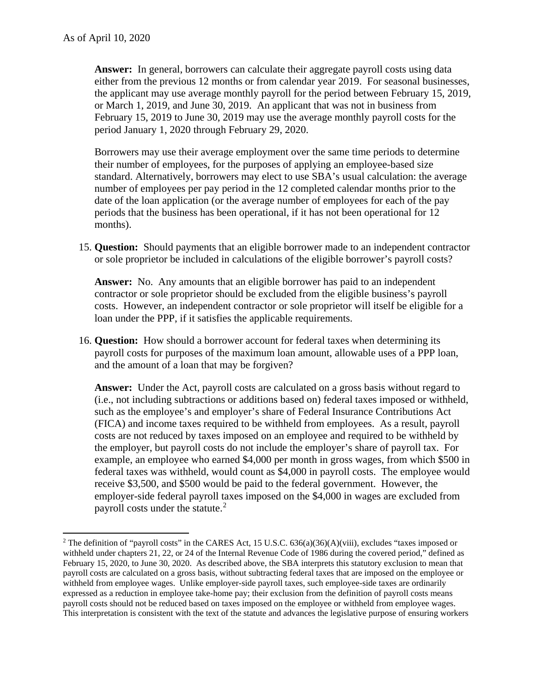$\overline{a}$ 

**Answer:** In general, borrowers can calculate their aggregate payroll costs using data either from the previous 12 months or from calendar year 2019. For seasonal businesses, the applicant may use average monthly payroll for the period between February 15, 2019, or March 1, 2019, and June 30, 2019. An applicant that was not in business from February 15, 2019 to June 30, 2019 may use the average monthly payroll costs for the period January 1, 2020 through February 29, 2020.

Borrowers may use their average employment over the same time periods to determine their number of employees, for the purposes of applying an employee-based size standard. Alternatively, borrowers may elect to use SBA's usual calculation: the average number of employees per pay period in the 12 completed calendar months prior to the date of the loan application (or the average number of employees for each of the pay periods that the business has been operational, if it has not been operational for 12 months).

15. **Question:** Should payments that an eligible borrower made to an independent contractor or sole proprietor be included in calculations of the eligible borrower's payroll costs?

**Answer:** No. Any amounts that an eligible borrower has paid to an independent contractor or sole proprietor should be excluded from the eligible business's payroll costs. However, an independent contractor or sole proprietor will itself be eligible for a loan under the PPP, if it satisfies the applicable requirements.

16. **Question:** How should a borrower account for federal taxes when determining its payroll costs for purposes of the maximum loan amount, allowable uses of a PPP loan, and the amount of a loan that may be forgiven?

**Answer:** Under the Act, payroll costs are calculated on a gross basis without regard to (i.e., not including subtractions or additions based on) federal taxes imposed or withheld, such as the employee's and employer's share of Federal Insurance Contributions Act (FICA) and income taxes required to be withheld from employees. As a result, payroll costs are not reduced by taxes imposed on an employee and required to be withheld by the employer, but payroll costs do not include the employer's share of payroll tax. For example, an employee who earned \$4,000 per month in gross wages, from which \$500 in federal taxes was withheld, would count as \$4,000 in payroll costs. The employee would receive \$3,500, and \$500 would be paid to the federal government. However, the employer-side federal payroll taxes imposed on the \$4,000 in wages are excluded from payroll costs under the statute.<sup>[2](#page-4-0)</sup>

<span id="page-4-0"></span><sup>&</sup>lt;sup>2</sup> The definition of "payroll costs" in the CARES Act, 15 U.S.C.  $636(a)(36)(A)(viii)$ , excludes "taxes imposed or withheld under chapters 21, 22, or 24 of the Internal Revenue Code of 1986 during the covered period," defined as February 15, 2020, to June 30, 2020. As described above, the SBA interprets this statutory exclusion to mean that payroll costs are calculated on a gross basis, without subtracting federal taxes that are imposed on the employee or withheld from employee wages. Unlike employer-side payroll taxes, such employee-side taxes are ordinarily expressed as a reduction in employee take-home pay; their exclusion from the definition of payroll costs means payroll costs should not be reduced based on taxes imposed on the employee or withheld from employee wages. This interpretation is consistent with the text of the statute and advances the legislative purpose of ensuring workers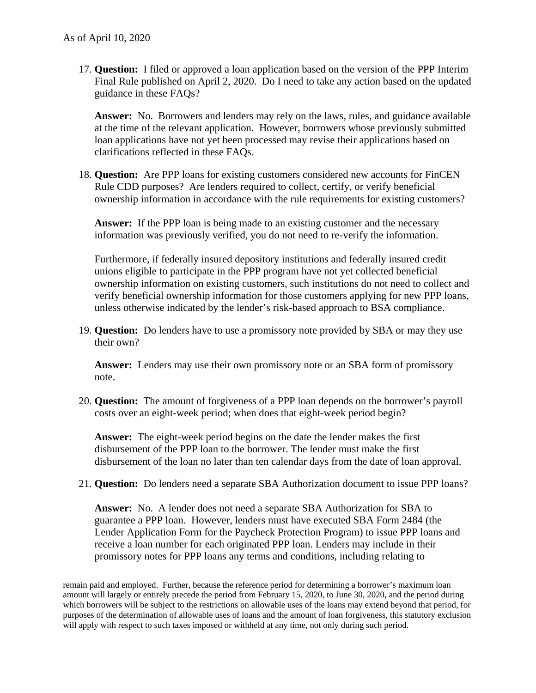$\overline{\phantom{a}}$ 

17. **Question:** I filed or approved a loan application based on the version of the PPP Interim Final Rule published on April 2, 2020. Do I need to take any action based on the updated guidance in these FAQs?

**Answer:** No. Borrowers and lenders may rely on the laws, rules, and guidance available at the time of the relevant application. However, borrowers whose previously submitted loan applications have not yet been processed may revise their applications based on clarifications reflected in these FAQs.

18. **Question:** Are PPP loans for existing customers considered new accounts for FinCEN Rule CDD purposes? Are lenders required to collect, certify, or verify beneficial ownership information in accordance with the rule requirements for existing customers?

**Answer:** If the PPP loan is being made to an existing customer and the necessary information was previously verified, you do not need to re-verify the information.

Furthermore, if federally insured depository institutions and federally insured credit unions eligible to participate in the PPP program have not yet collected beneficial ownership information on existing customers, such institutions do not need to collect and verify beneficial ownership information for those customers applying for new PPP loans, unless otherwise indicated by the lender's risk-based approach to BSA compliance.

19. **Question:** Do lenders have to use a promissory note provided by SBA or may they use their own?

**Answer:** Lenders may use their own promissory note or an SBA form of promissory note.

20. **Question:** The amount of forgiveness of a PPP loan depends on the borrower's payroll costs over an eight-week period; when does that eight-week period begin?

**Answer:** The eight-week period begins on the date the lender makes the first disbursement of the PPP loan to the borrower. The lender must make the first disbursement of the loan no later than ten calendar days from the date of loan approval.

21. **Question:** Do lenders need a separate SBA Authorization document to issue PPP loans?

**Answer:** No. A lender does not need a separate SBA Authorization for SBA to guarantee a PPP loan. However, lenders must have executed SBA Form 2484 (the Lender Application Form for the Paycheck Protection Program) to issue PPP loans and receive a loan number for each originated PPP loan. Lenders may include in their promissory notes for PPP loans any terms and conditions, including relating to

remain paid and employed. Further, because the reference period for determining a borrower's maximum loan amount will largely or entirely precede the period from February 15, 2020, to June 30, 2020, and the period during which borrowers will be subject to the restrictions on allowable uses of the loans may extend beyond that period, for purposes of the determination of allowable uses of loans and the amount of loan forgiveness, this statutory exclusion will apply with respect to such taxes imposed or withheld at any time, not only during such period.